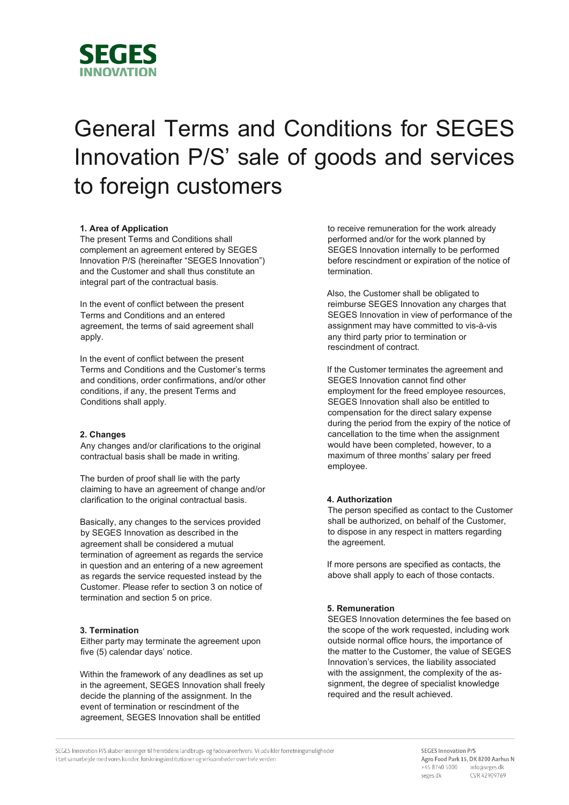

# General Terms and Conditions for SEGES Innovation P/S' sale of goods and services to foreign customers

## **1. Area of Application**

The present Terms and Conditions shall complement an agreement entered by SEGES Innovation P/S (hereinafter "SEGES Innovation") and the Customer and shall thus constitute an integral part of the contractual basis.

In the event of conflict between the present Terms and Conditions and an entered agreement, the terms of said agreement shall apply.

In the event of conflict between the present Terms and Conditions and the Customer's terms and conditions, order confirmations, and/or other conditions, if any, the present Terms and Conditions shall apply.

#### **2. Changes**

Any changes and/or clarifications to the original contractual basis shall be made in writing.

The burden of proof shall lie with the party claiming to have an agreement of change and/or clarification to the original contractual basis.

Basically, any changes to the services provided by SEGES Innovation as described in the agreement shall be considered a mutual termination of agreement as regards the service in question and an entering of a new agreement as regards the service requested instead by the Customer. Please refer to section 3 on notice of termination and section 5 on price.

#### **3. Termination**

Either party may terminate the agreement upon five (5) calendar days' notice.

Within the framework of any deadlines as set up in the agreement, SEGES Innovation shall freely decide the planning of the assignment. In the event of termination or rescindment of the agreement, SEGES Innovation shall be entitled

to receive remuneration for the work already performed and/or for the work planned by SEGES Innovation internally to be performed before rescindment or expiration of the notice of termination.

Also, the Customer shall be obligated to reimburse SEGES Innovation any charges that SEGES Innovation in view of performance of the assignment may have committed to vis-à-vis any third party prior to termination or rescindment of contract.

If the Customer terminates the agreement and SEGES Innovation cannot find other employment for the freed employee resources, SEGES Innovation shall also be entitled to compensation for the direct salary expense during the period from the expiry of the notice of cancellation to the time when the assignment would have been completed, however, to a maximum of three months' salary per freed employee.

#### **4. Authorization**

The person specified as contact to the Customer shall be authorized, on behalf of the Customer, to dispose in any respect in matters regarding the agreement.

If more persons are specified as contacts, the above shall apply to each of those contacts.

#### **5. Remuneration**

SEGES Innovation determines the fee based on the scope of the work requested, including work outside normal office hours, the importance of the matter to the Customer, the value of SEGES Innovation's services, the liability associated with the assignment, the complexity of the assignment, the degree of specialist knowledge required and the result achieved.

SEGES Innovation P/S skaber løsninger til fremtidens landbrugs- og fødevareerhverv. Vi udvikler forretningsmuligheder i tæt samarbejde med vores kunder, forskningsinstitutioner og virksomheder over hele verden.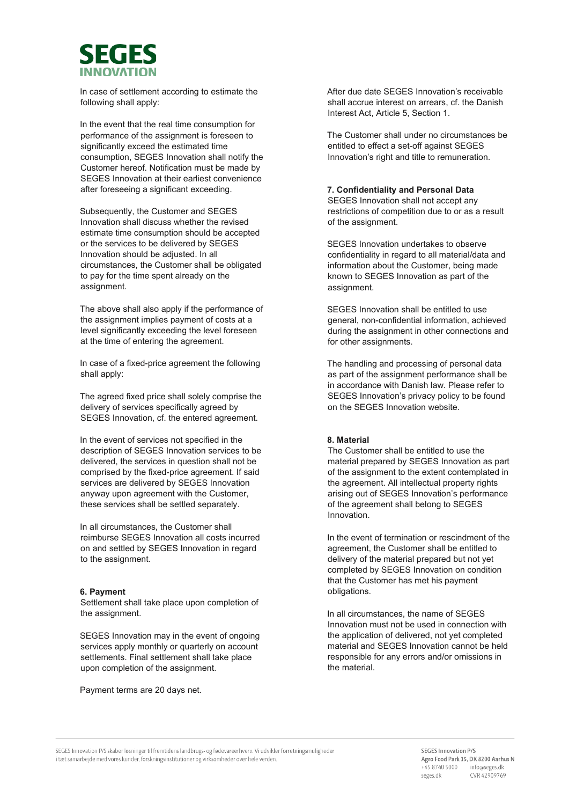

In case of settlement according to estimate the following shall apply:

In the event that the real time consumption for performance of the assignment is foreseen to significantly exceed the estimated time consumption, SEGES Innovation shall notify the Customer hereof. Notification must be made by SEGES Innovation at their earliest convenience after foreseeing a significant exceeding.

Subsequently, the Customer and SEGES Innovation shall discuss whether the revised estimate time consumption should be accepted or the services to be delivered by SEGES Innovation should be adjusted. In all circumstances, the Customer shall be obligated to pay for the time spent already on the assignment.

The above shall also apply if the performance of the assignment implies payment of costs at a level significantly exceeding the level foreseen at the time of entering the agreement.

In case of a fixed-price agreement the following shall apply:

The agreed fixed price shall solely comprise the delivery of services specifically agreed by SEGES Innovation, cf. the entered agreement.

In the event of services not specified in the description of SEGES Innovation services to be delivered, the services in question shall not be comprised by the fixed-price agreement. If said services are delivered by SEGES Innovation anyway upon agreement with the Customer, these services shall be settled separately.

In all circumstances, the Customer shall reimburse SEGES Innovation all costs incurred on and settled by SEGES Innovation in regard to the assignment.

#### **6. Payment**

Settlement shall take place upon completion of the assignment.

SEGES Innovation may in the event of ongoing services apply monthly or quarterly on account settlements. Final settlement shall take place upon completion of the assignment.

Payment terms are 20 days net.

After due date SEGES Innovation's receivable shall accrue interest on arrears, cf. the Danish Interest Act, Article 5, Section 1.

The Customer shall under no circumstances be entitled to effect a set-off against SEGES Innovation's right and title to remuneration.

#### **7. Confidentiality and Personal Data**

SEGES Innovation shall not accept any restrictions of competition due to or as a result of the assignment.

SEGES Innovation undertakes to observe confidentiality in regard to all material/data and information about the Customer, being made known to SEGES Innovation as part of the assignment.

SEGES Innovation shall be entitled to use general, non-confidential information, achieved during the assignment in other connections and for other assignments.

The handling and processing of personal data as part of the assignment performance shall be in accordance with Danish law. Please refer to SEGES Innovation's privacy policy to be found on the SEGES Innovation website.

#### **8. Material**

The Customer shall be entitled to use the material prepared by SEGES Innovation as part of the assignment to the extent contemplated in the agreement. All intellectual property rights arising out of SEGES Innovation's performance of the agreement shall belong to SEGES Innovation.

In the event of termination or rescindment of the agreement, the Customer shall be entitled to delivery of the material prepared but not yet completed by SEGES Innovation on condition that the Customer has met his payment obligations.

In all circumstances, the name of SEGES Innovation must not be used in connection with the application of delivered, not yet completed material and SEGES Innovation cannot be held responsible for any errors and/or omissions in the material.

SEGES Innovation P/S skaber løsninger til fremtidens landbrugs- og fødevareerhverv. Vi udvikler forretningsmuligheder i tæt samarbejde med vores kunder, forskningsinstitutioner og virksomheder over hele verden.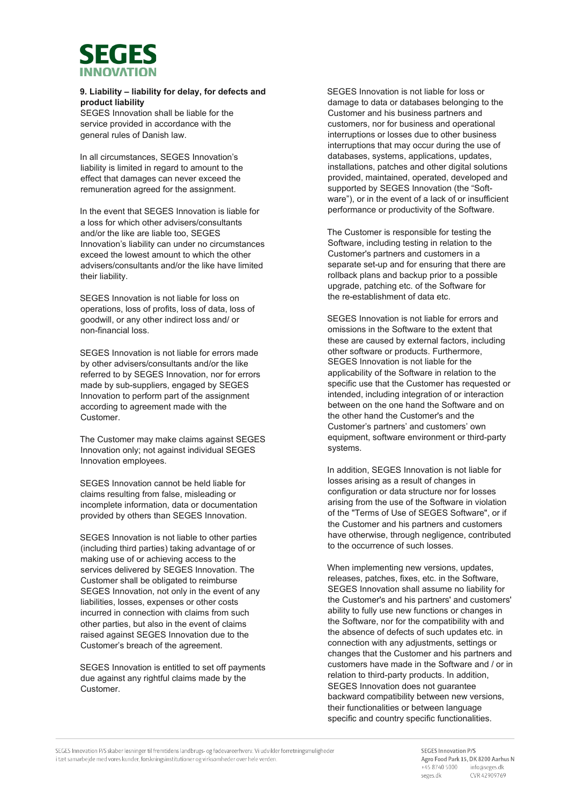

## **9. Liability – liability for delay, for defects and product liability**

SEGES Innovation shall be liable for the service provided in accordance with the general rules of Danish law.

In all circumstances, SEGES Innovation's liability is limited in regard to amount to the effect that damages can never exceed the remuneration agreed for the assignment.

In the event that SEGES Innovation is liable for a loss for which other advisers/consultants and/or the like are liable too, SEGES Innovation's liability can under no circumstances exceed the lowest amount to which the other advisers/consultants and/or the like have limited their liability.

SEGES Innovation is not liable for loss on operations, loss of profits, loss of data, loss of goodwill, or any other indirect loss and/ or non-financial loss.

SEGES Innovation is not liable for errors made by other advisers/consultants and/or the like referred to by SEGES Innovation, nor for errors made by sub-suppliers, engaged by SEGES Innovation to perform part of the assignment according to agreement made with the Customer.

The Customer may make claims against SEGES Innovation only; not against individual SEGES Innovation employees.

SEGES Innovation cannot be held liable for claims resulting from false, misleading or incomplete information, data or documentation provided by others than SEGES Innovation.

SEGES Innovation is not liable to other parties (including third parties) taking advantage of or making use of or achieving access to the services delivered by SEGES Innovation. The Customer shall be obligated to reimburse SEGES Innovation, not only in the event of any liabilities, losses, expenses or other costs incurred in connection with claims from such other parties, but also in the event of claims raised against SEGES Innovation due to the Customer's breach of the agreement.

SEGES Innovation is entitled to set off payments due against any rightful claims made by the Customer.

SEGES Innovation is not liable for loss or damage to data or databases belonging to the Customer and his business partners and customers, nor for business and operational interruptions or losses due to other business interruptions that may occur during the use of databases, systems, applications, updates, installations, patches and other digital solutions provided, maintained, operated, developed and supported by SEGES Innovation (the "Software"), or in the event of a lack of or insufficient performance or productivity of the Software.

The Customer is responsible for testing the Software, including testing in relation to the Customer's partners and customers in a separate set-up and for ensuring that there are rollback plans and backup prior to a possible upgrade, patching etc. of the Software for the re-establishment of data etc.

SEGES Innovation is not liable for errors and omissions in the Software to the extent that these are caused by external factors, including other software or products. Furthermore, SEGES Innovation is not liable for the applicability of the Software in relation to the specific use that the Customer has requested or intended, including integration of or interaction between on the one hand the Software and on the other hand the Customer's and the Customer's partners' and customers' own equipment, software environment or third-party systems.

In addition, SEGES Innovation is not liable for losses arising as a result of changes in configuration or data structure nor for losses arising from the use of the Software in violation of the "Terms of Use of SEGES Software", or if the Customer and his partners and customers have otherwise, through negligence, contributed to the occurrence of such losses.

When implementing new versions, updates, releases, patches, fixes, etc. in the Software, SEGES Innovation shall assume no liability for the Customer's and his partners' and customers' ability to fully use new functions or changes in the Software, nor for the compatibility with and the absence of defects of such updates etc. in connection with any adjustments, settings or changes that the Customer and his partners and customers have made in the Software and / or in relation to third-party products. In addition, SEGES Innovation does not guarantee backward compatibility between new versions, their functionalities or between language specific and country specific functionalities.

SEGES Innovation P/S skaber løsninger til fremtidens landbrugs- og fødevareerhverv. Vi udvikler forretningsmuligheder i tæt samarbejde med vores kunder, forskningsinstitutioner og virksomheder over hele verden.